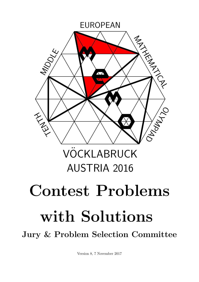

Version 8, 7 November 2017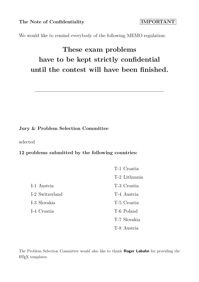The Note of Confidentiality **IMPORTANT** 

We would like to remind everybody of the following MEMO regulation:

# **These exam problems have to be kept strictly confidential until the contest will have been finished.**

#### **Jury & Problem Selection Committee**

selected

**12 problems submitted by the following countries:**

|                 | T-1 Croatia   |
|-----------------|---------------|
|                 | T-2 Lithuania |
| I-1 Austria     | T-3 Croatia   |
| I-2 Switzerland | T-4 Austria   |
| I-3 Slovakia    | T-5 Croatia   |
| I-4 Croatia     | T-6 Poland    |
|                 | T-7 Slovakia  |
|                 | T-8 Austria   |

The Problem Selection Committee would also like to thank **Roger Labahn** for providing the LATEX templates.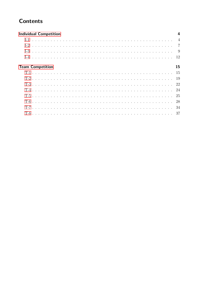# **Contents**

| <b>Individual Competition</b> |                |
|-------------------------------|----------------|
|                               | $\overline{4}$ |
|                               |                |
|                               |                |
|                               |                |
| <b>Team Competition</b>       | 15             |
|                               |                |
|                               |                |
|                               |                |
|                               |                |
|                               |                |
|                               | -28            |
|                               |                |
|                               |                |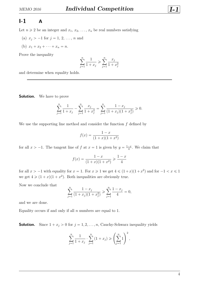### <span id="page-3-0"></span> $I - 1$  **A**

Let  $n \geq 2$  be an integer and  $x_1, x_2, \ldots, x_n$  be real numbers satisfying

- (a)  $x_j > -1$  for  $j = 1, 2, ..., n$  and
- (b)  $x_1 + x_2 + \cdots + x_n = n$ .

Prove the inequality

$$
\sum_{j=1}^{n} \frac{1}{1+x_j} \geqslant \sum_{j=1}^{n} \frac{x_j}{1+x_j^2}
$$

and determine when equality holds.

**Solution.** We have to prove

$$
\sum_{j=1}^{n} \frac{1}{1+x_j} - \sum_{j=1}^{n} \frac{x_j}{1+x_j^2} = \sum_{j=1}^{n} \frac{1-x_j}{(1+x_j)(1+x_j^2)} \ge 0.
$$

We use the supporting line method and consider the function *f* defined by

$$
f(x) = \frac{1-x}{(1+x)(1+x^2)}
$$

for all  $x > -1$ . The tangent line of  $f$  at  $x = 1$  is given by  $y = \frac{1-x}{4}$  $\frac{-x}{4}$ . We claim that

$$
f(x) = \frac{1-x}{(1+x)(1+x^2)} \geq \frac{1-x}{4}
$$

for all  $x > -1$  with equality for  $x = 1$ . For  $x \ge 1$  we get  $4 \le (1+x)(1+x^2)$  and for  $-1 < x \le 1$ we get  $4 \geq (1 + x)(1 + x^2)$ . Both inequalities are obviously true.

Now we conclude that

$$
\sum_{j=1}^{n} \frac{1 - x_j}{(1 + x_j)(1 + x_j^2)} \ge \sum_{j=1}^{n} \frac{1 - x_j}{4} = 0,
$$

and we are done.

Equality occurs if and only if all *n* numbers are equal to 1.

**Solution.** Since  $1 + x_j > 0$  for  $j = 1, 2, ..., n$ , Cauchy-Schwarz inequality yields

$$
\sum_{j=1}^{n} \frac{1}{1+x_j} \cdot \sum_{j=1}^{n} (1+x_j) \geqslant \left(\sum_{j=1}^{n} 1\right)^2,
$$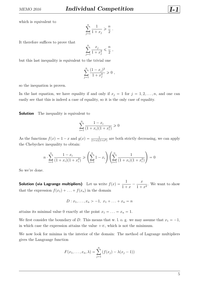which is equivalent to

$$
\sum_{j=1}^{n} \frac{1}{1+x_j} \geqslant \frac{n}{2} \; .
$$

It therefore suffices to prove that

$$
\sum_{j=1}^{n} \frac{x_j}{1+x_j^2} \leqslant \frac{n}{2} ,
$$

but this last inequality is equivalent to the trivial one

$$
\sum_{j=1}^{n} \frac{(1-x_j)^2}{1+x_j^2} \geqslant 0,
$$

so the inequation is proven.

In the last equation, we have equality if and only if  $x_j = 1$  for  $j = 1, 2, \ldots, n$ , and one can easily see that this is indeed a case of equality, so it is the only case of equality.

**Solution** The inequality is equivalent to

$$
\sum_{i=1}^{n} \frac{1 - x_i}{(1 + x_i)(1 + x_i^2)} \ge 0
$$

As the functions  $f(x) = 1 - x$  and  $g(x) = \frac{1}{(1+x)(1+x^2)}$  are both strictly decreasing, we can apply the Chebychev inequality to obtain:

$$
n \cdot \sum_{i=1}^{n} \frac{1 - x_i}{(1 + x_i)(1 + x_i^2)} \ge \left(\sum_{i=1}^{n} 1 - x_i\right) \left(\sum_{i=1}^{n} \frac{1}{(1 + x_i)(1 + x_i^2)}\right) = 0
$$

So we're done.

**Solution (via Lagrange multipliers)** Let us write  $f(x) = \frac{1}{1+x^2}$  $\frac{1}{1 + x}$ *x*  $\frac{x}{1 + x^2}$ . We want to show that the expression  $f(x_1) + \ldots + f(x_n)$  in the domain

$$
D: x_1, \ldots, x_n > -1, \ x_1 + \ldots + x_n = n
$$

attains its minimal value 0 exactly at the point  $x_1 = \ldots = x_n = 1$ .

We first consider the boundary of *D*. This means that w. l. o. g. we may assume that  $x_1 = -1$ , in which case the expression attains the value  $+\infty$ , which is not the minimum.

We now look for minima in the interior of the domain: The method of Lagrange multipliers gives the Langrange function

$$
F(x_1,...,x_n,\lambda) = \sum_{j=1}^n (f(x_j) - \lambda(x_j - 1))
$$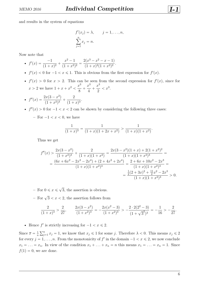and results in the system of equations

$$
f'(x_j) = \lambda, \qquad j = 1, \dots, n,
$$
  

$$
\sum_{j=1}^{n} x_j = n.
$$

Now note that

- $f'(x) = \frac{-1}{(1+x^2)^{1/2}}$  $\frac{1}{(1+x)^2}$  +  $x^2 - 1$  $\frac{1}{(1+x^2)^2}$  =  $2(x^3 - x^2 - x - 1)$  $\frac{x(x-x^2)}{(1+x)^2(1+x^2)^2}.$
- $f'(x) < 0$  for  $-1 < x \le 1$ . This is obvious from the first expression for  $f'(x)$ .
- $f'(x) > 0$  for  $x > 2$ . This can be seen from the second expression for  $f'(x)$ , since for  $x > 2$  we have  $1 + x + x^2 < \frac{x^3}{2}$  $\frac{1}{8}$  + *x* 3  $\frac{1}{4}$  + *x* 3  $\frac{c}{2} < x^3$ .

• 
$$
f''(x) = \frac{2x(3-x^2)}{(1+x^2)^3} + \frac{2}{(1+x)^3}.
$$

•  $f''(x) > 0$  for  $-1 < x < 2$  can be shown by considering the following three cases:

 $-$  For  $-1 < x < 0$ , we have

$$
\frac{1}{(1+x)^3} = \frac{1}{(1+x)(1+2x+x^2)} > \frac{1}{(1+x)(1+x^2)}.
$$

Thus we get

$$
f''(x) > \frac{2x(3-x^2)}{(1+x^2)^3} + \frac{2}{(1+x)(1+x^2)} = \frac{2x(3-x^2)(1+x) + 2(1+x^2)^2}{(1+x)(1+x^2)^3} =
$$
  
= 
$$
\frac{(6x+6x^2-2x^3-2x^4)+(2+4x^2+2x^4)}{(1+x)(1+x^2)^3} = \frac{2+6x+10x^2-2x^3}{(1+x)(1+x^2)^3} =
$$
  
= 
$$
\frac{\frac{1}{2}(2+3x)^2 + \frac{11}{2}x^2 - 2x^3}{(1+x)(1+x^2)^3} > 0.
$$

- $-$  For  $0 \leqslant x \leqslant$ ? 3, the assertion is obvious.
- $-$  For  $\sqrt{3} < x < 2$ , the assertion follows from

$$
\frac{2}{(1+x)^3} > \frac{2}{27}, \qquad \frac{2x(3-x^2)}{(1+x^2)^3} = -\frac{2x(x^2-3)}{(1+x^2)^3} > -\frac{2 \cdot 2(2^2-3)}{(1+\sqrt{3}^2)^3} = -\frac{1}{16} > -\frac{2}{27}.
$$

• Hence  $f'$  is strictly increasing for  $-1 < x \le 2$ .

Since  $\overline{x} = \frac{1}{n}$ *n* ř*n*  $j_{j=1}^{n} x_j = 1$ , we know that  $x_j \leq 1$  for some *j*. Therefore  $\lambda < 0$ . This means  $x_j \leq 2$ for every  $j = 1, \ldots, n$ . From the monotonicity of  $f'$  in the domain  $-1 < x \leq 2$ , we now conclude  $x_1 = \ldots = x_n$ . In view of the condition  $x_1 + \ldots + x_n = n$  this means  $x_1 = \ldots = x_n = 1$ . Since  $f(1) = 0$ , we are done.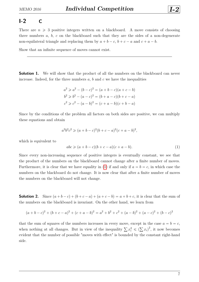#### <span id="page-6-0"></span>**I-2 C**

There are  $n \geq 3$  positive integers written on a blackboard. A move consists of choosing three numbers *a*, *b*, *c* on the blackboard such that they are the sides of a non-degenerate non-equilateral triangle and replacing them by  $a + b - c$ ,  $b + c - a$  and  $c + a - b$ .

Show that an infinite sequence of moves cannot exist.

**Solution 1.** We will show that the product of all the numbers on the blackboard can never increase. Indeed, for the three numbers  $a, b$  and  $c$  we have the inequalities

$$
a2 \ge a2 - (b - c)2 = (a + b - c)(a + c - b)
$$
  
\n
$$
b2 \ge b2 - (a - c)2 = (b + a - c)(b + c - a)
$$
  
\n
$$
c2 \ge c2 - (a - b)2 = (c + a - b)(c + b - a)
$$

Since by the conditions of the problem all factors on both sides are positive, we can multiply these equations and obtain

$$
a^{2}b^{2}c^{2} \geq (a+b-c)^{2}(b+c-a)^{2}(c+a-b)^{2},
$$

which is equivalent to

<span id="page-6-1"></span>
$$
abc \geqslant (a+b-c)(b+c-a)(c+a-b). \tag{1}
$$

Since every non-increasing sequence of positive integers is eventually constant, we see that the product of the numbers on the blackboard cannot change after a finite number of moves. Furthermore, it is clear that we have equality in [\(1\)](#page-6-1) if and only if  $a = b = c$ , in which case the numbers on the blackboard do not change. It is now clear that after a finite number of moves the numbers on the blackboard will not change.

**Solution 2.** Since  $(a + b - c) + (b + c - a) + (a + c - b) = a + b + c$ , it is clear that the sum of the numbers on the blackboard is invariant. On the other hand, we learn from

$$
(a+b-c)^2 + (b+c-a)^2 + (c+a-b)^2 = a^2 + b^2 + c^2 + (a-b)^2 + (a-c)^2 + (b-c)^2
$$

that the sum of squares of the numbers increases in every move, except in the case  $a = b = c$ , that the sum of squares of the numbers increases in every move, except in the case  $a = b = c$ ,<br>when nothing at all changes. But in view of the inequality  $\sum x_i^2 \le (\sum x_i)^2$ , it now becomes evident that the number of possible "moves with effect" is bounded by the constant right-hand side.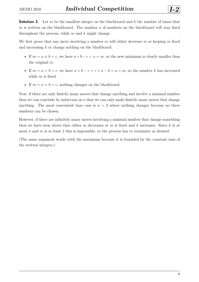**Solution 3.** Let *m* be the smallest integer on the blackboard and *k* the number of times that *m* is written on the blackboard. The number *n* of numbers on the blackboard will stay fixed throughout the process, while *m* and *k* might change.

We first prove that any move involving a number *m* will either decrease *m* or keeping *m* fixed and increasing *k* or change nothing on the blackboard:

- If  $m = a \leq b < c$ , we have  $a + b c < a = m$ , so the new minimum is clearly smaller than the original *m*.
- If  $m = a < b = c$ , we have  $a + b c = c + a b = a = m$ , so the number k has increased while *m* is fixed.
- If  $m = a = b = c$ , nothing changes on the blackboard.

Now, if there are only finitely many moves that change anything and involve a minimal number then we can conclude by induction on  $n$  that we can only make finitely many moves that change anything. The most convenient base case is  $n = 2$  where nothing changes because no three numbers can be chosen.

However, if there are infinitely many moves involving a minimal number that change something then we have seen above that either *m* decreases or *m* is fixed and *k* increases. Since *k* is at most *n* and *m* is at least 1 this is impossible, so the process has to terminate as desired.

(The same argument works with the maximum because it is bounded by the constant sum of the written integers.)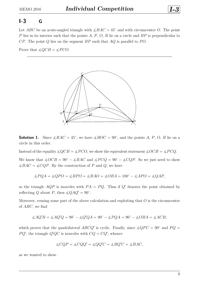<span id="page-8-0"></span>Let *ABC* be an acute-angled triangle with  $\angle BAC > 45^{\circ}$  and with circumcentre *O*. The point *P* lies in its interior such that the points *A*, *P*, *O*, *B* lie on a circle and *BP* is perpendicular to *CP*. The point *Q* lies on the segment *BP* such that *AQ* is parallel to *P O*.

Prove that  $\angle OCB = \angle PCO$ .



**Solution 1.** Since  $\angle BAC > 45^{\circ}$ , we have  $\angle BOC > 90^{\circ}$ , and the points *A*, *P*, *O*, *B* lie on a circle in this order.

Instead of the equality  $\angle QCB = \angle PCO$ , we show the equivalent statement  $\angle OCB = \angle PCQ$ .

We know that  $\angle OCB = 90^\circ - \angle BAC$  and  $\angle PCQ = 90^\circ - \angle CQP$ . So we just need to show  $\angle BAC = \angle CQP$ . By the construction of *P* and *Q*, we have

$$
\angle PQA = \angle QPO = \angle BPO = \angle BAO = \angle OBA = 180^{\circ} - \angle APO = \angle QAP,
$$

so the triangle  $AQP$  is isosceles with  $PA = PQ$ . Thus if  $Q'$  denotes the point obtained by reflecting *Q* about *P*, then  $\angle QAQ' = 90^\circ$ .

Moreover, reusing some part of the above calculation and exploiting that *O* is the circumcentre of *ABC*, we find

$$
\measuredangle A Q'B = \measuredangle A Q'Q = 90^\circ - \measuredangle Q'QA = 90^\circ - \measuredangle PQA = 90^\circ - \measuredangle OBA = \measuredangle ACB,
$$

which proves that the quadrilateral *ABCQ'* is cyclic. Finally, since  $\angle QPC = 90^{\circ}$  and  $PQ =$  $PQ'$ , the triangle  $Q'QC$  is isosceles with  $CQ = CQ'$ , whence

$$
\measuredangle CQP = \measuredangle CQQ' = \measuredangle QQ'C = \measuredangle BQ'C = \measuredangle BAC,
$$

as we wanted to show.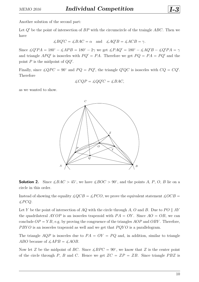Another solution of the second part:

Let *Q*<sup>1</sup> be the point of intersection of *BP* with the circumcircle of the traingle *ABC*. Then we have

$$
\measuredangle BQ'C = \measuredangle BAC = \alpha \quad \text{and} \quad \measuredangle AQ'B = \measuredangle ACB = \gamma.
$$

Since  $\angle Q'PA = 180^\circ - \angle APB = 180^\circ - 2\gamma$  we get  $\angle PAQ' = 180^\circ - \angle AQ'B - \angle Q'PA = \gamma$ and triangle  $APQ'$  is isosceles with  $PQ' = PA$ . Therefore we get  $PQ = PA = PQ'$  and the point *P* is the midpoint of  $QQ'$ .

Finally, since  $\angle QPC = 90^{\circ}$  and  $PQ = PQ'$ , the triangle  $Q'QC$  is isosceles with  $CQ = CQ'$ . Therefore

$$
\measuredangle CQP = \measuredangle QQ'C = \measuredangle BAC,
$$

as we wanted to show.



**Solution 2.** Since  $\angle BAC > 45^{\circ}$ , we have  $\angle BOC > 90^{\circ}$ , and the points *A*, *P*, *O*, *B* lie on a circle in this order.

Instead of showing the equality  $\angle QCB = \angle PCO$ , we prove the equivalent statement  $\angle OCB =$  $\measuredangle PCQ$ .

Let *Y* be the point of intersection of *AQ* with the circle through *A*, *O* and *B*. Due to  $PO \parallel AY$ the quadrilateral *AYOP* is an isosceles trapezoid with  $PA = OY$ . Since  $AO = OB$ , we can conclude  $OP = YB$ , e.g. by proving the congruence of the triangles  $AOP$  and  $OBY$ . Therefore, *PBYO* is an isosceles trapezoid as well and we get that *PQYO* is a parallelogram.

The triangle  $AQP$  is isosceles due to  $PA = OY = PQ$  and, in addition, similar to triangle *ABO* because of  $\angle APB = \angle AOB$ .

Now let *Z* be the midpoint of *BC*. Since  $\angle BPC = 90^{\circ}$ , we know that *Z* is the center point of the circle through *P*, *B* and *C*. Hence we get  $ZC = ZP = ZB$ . Since triangle *PBZ* is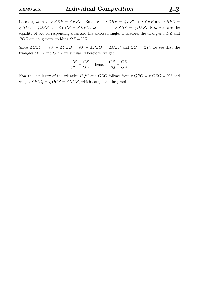isosceles, we have  $\angle ZBP = \angle BPZ$ . Because of  $\angle ZBP = \angle ZBY + \angle YBP$  and  $\angle BPZ =$  $\angle BPO + \angle OPZ$  and  $\angle YBP = \angle BPO$ , we conclude  $\angle ZBY = \angle OPZ$ . Now we have the equality of two corresponding sides and the enclosed angle. Therefore, the triangles *Y BZ* and *POZ* are congruent, yielding  $OZ = YZ$ .

Since  $\angle OZY = 90^\circ - \angle YZB = 90^\circ - \angle PZO = \angle CZP$  and  $ZC = ZP$ , we see that the triangles *OYZ* and *CPZ* are similar. Therefore, we get

$$
\frac{CP}{OY} = \frac{CZ}{OZ}, \quad \text{hence} \quad \frac{CP}{PQ} = \frac{CZ}{OZ}.
$$

Now the similarity of the triangles *PQC* and *OZC* follows from  $\angle QPC = \angle CZO = 90^\circ$  and we get  $\angle PCQ = \angle OCZ = \angle OCB$ , which completes the proof.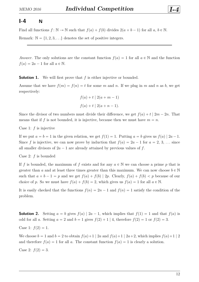#### <span id="page-11-0"></span>**I-4 N**

Find all functions  $f: \mathbb{N} \to \mathbb{N}$  such that  $f(a) + f(b)$  divides  $2(a + b - 1)$  for all  $a, b \in \mathbb{N}$ .

Remark:  $\mathbb{N} = \{1, 2, 3, \ldots\}$  denotes the set of positive integers.

*Answer.* The only solutions are the constant function  $f(a) = 1$  for all  $a \in \mathbb{N}$  and the function  $f(a) = 2a - 1$  for all  $a \in \mathbb{N}$ .

**Solution 1.** We will first prove that f is either injective or bounded.

Assume that we have  $f(m) = f(n) = t$  for some *m* and *n*. If we plug in *m* and *n* as *b*, we get respectively:

$$
f(a) + t | 2(a + m - 1)
$$
  

$$
f(a) + t | 2(a + n - 1).
$$

Since the divisor of two numbers must divide their difference, we get  $f(a) + t \mid 2m - 2n$ . That means that if f is not bounded, it is injective, because then we must have  $m = n$ .

Case 1: *f* is injective

If we put  $a = b = 1$  in the given relation, we get  $f(1) = 1$ . Putting  $a = b$  gives us  $f(a) | 2a - 1$ . Since *f* is injective, we can now prove by induction that  $f(a) = 2a - 1$  for  $a = 2, 3, \ldots$  since all smaller divisors of  $2a - 1$  are already attained by previous values of f.

Case 2: *f* is bounded

If f is bounded, the maximum of f exists and for any  $a \in \mathbb{N}$  we can choose a prime p that is greater than *a* and at least three times greater than this maximum. We can now choose  $b \in \mathbb{N}$ such that  $a + b - 1 = p$  and we get  $f(a) + f(b) | 2p$ . Clearly,  $f(a) + f(b) < p$  because of our choice of *p*. So we must have  $f(a) + f(b) = 2$ , which gives us  $f(a) = 1$  for all  $a \in \mathbb{N}$ .

It is easily checked that the functions  $f(n) = 2n - 1$  and  $f(n) = 1$  satisfy the condition of the problem.

**Solution 2.** Setting  $a = b$  gives  $f(a) | 2a - 1$ , which implies that  $f(1) = 1$  and that  $f(a)$  is odd for all *a*. Setting  $a = 2$  and  $b = 1$  gives  $f(2) + 1 \mid 4$ , therefore  $f(2) = 1$  or  $f(2) = 3$ .

Case 1:  $f(2) = 1$ .

We choose  $b = 1$  and  $b = 2$  to obtain  $f(a)+1 \mid 2a$  and  $f(a)+1 \mid 2a+2$ , which implies  $f(a)+1 \mid 2$ and therefore  $f(a) = 1$  for all *a*. The constant function  $f(a) = 1$  is clearly a solution.

Case 2:  $f(2) = 3$ .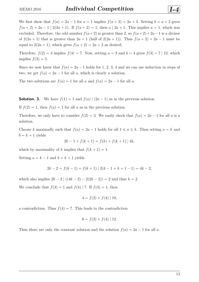We first show that  $f(a) = 2a - 1$  for  $a > 1$  implies  $f(a + 2) = 2a + 3$ . Setting  $b = a + 2$  gives  $f(a + 2) + 2a - 1$  | 2(2*a* + 1). If  $f(a + 2) = 1$ , then  $a \mid 2a + 1$ . This implies  $a = 1$ , which was excluded. Therefore, the odd number  $f(a+2)$  is greater than 2, so  $f(a+2)+2a-1$  is a divisor of  $2(2a + 1)$  that is greater than  $2a + 1$  (half of  $2(2a + 1)$ ). Thus  $f(a + 2) + 2a - 1$  must be equal to  $2(2a + 1)$ , which gives  $f(a + 2) = 2a + 3$  as desired.

Therefore,  $f(2) = 3$  implies  $f(4) = 7$ . Now, setting  $a = 3$  and  $b = 4$  gives  $f(3) + 7 | 12$ , which implies  $f(3) = 5$ .

Since we now know that  $f(a) = 2a - 1$  holds for 1, 2, 3, 4 and we can use induction in steps of two, we get  $f(a) = 2a - 1$  for all a, which is clearly a solution.

The two solutions are  $f(a) = 1$  for all *a* and  $f(a) = 2a - 1$  for all *a*.

**Solution. 3.** We have  $f(1) = 1$  and  $f(a) | (2a - 1)$  as in the previous solution.

If  $f(2) = 1$ , then  $f(a) = 1$  for all *a* as in the previous solution.

Therefore, we only have to consider  $f(2) = 3$ . We easily check that  $f(a) = 2a - 1$  for all a is a solution.

Choose *k* maximally such that  $f(a) = 2a - 1$  holds for all  $1 \le a \le k$ . Then setting  $a = k$  and  $b = k + 1$  yields

$$
2k - 1 + f(k + 1) = f(k) + f(k + 1) | 4k,
$$

which by maximality of *k* implies that  $f(k + 1) = 1$ .

Setting  $a = k - 1$  and  $b = k + 1$  yields

$$
2k - 2 = f(k - 1) + f(k + 1) | 2(k - 1 + k + 1 - 1) = 4k - 2,
$$

which also implies  $2k - 2 \mid ((4k - 2) - 2(2k - 2)) = 2$  and thus  $k = 2$ .

We conclude that  $f(3) = 1$  and  $f(4)$  | 7. If  $f(4) = 1$ , then

$$
4 = f(2) + f(4) | 10,
$$

a contradiction. Thus  $f(4) = 7$ . This leads to the contradiction

$$
8 = f(3) + f(4) | 12.
$$

Thus there are only the constant solution and the solution  $f(a) = 2a - 1$  for all *a*.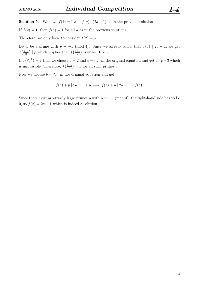**Solution 4.** We have  $f(1) = 1$  and  $f(a) | (2a - 1)$  as in the previous solutions.

If  $f(2) = 1$ , then  $f(a) = 1$  for all *a* as in the previous solutions.

Therefore, we only have to consider  $f(2) = 3$ .

Let *p* be a prime with  $p \equiv -1 \pmod{4}$ . Since we already know that  $f(a) \mid 2a - 1$ , we get  $f\left(\frac{p+1}{2}\right)$  $\frac{+1}{2}$ ) | *p* which implies that  $f(\frac{p+1}{2})$  $\frac{+1}{2}$ ) is either 1 or *p*.

If *f*  $\frac{p+1}{p+1}$ 2  $= 1$  then we choose  $a = 2$  and  $b = \frac{p+1}{2}$ se  $a = 2$  and  $b = \frac{p+1}{2}$  in the original equation and get 4 |  $p+3$  which is impossible. Therefore,  $f(\frac{p+1}{2})$  $\frac{+1}{2}$  = p for all such primes p.

Now we choose  $b = \frac{p+1}{2}$  $\frac{+1}{2}$  in the original equation and get

$$
f(a) + p | 2a - 1 + p \implies f(a) + p | 2a - 1 - f(a).
$$

Since there exist arbitrarily large primes *p* with  $p \equiv -1 \pmod{4}$ , the right-hand side has to be 0, so  $f(a) = 2a - 1$  which is indeed a solution.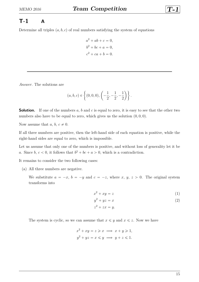# <span id="page-14-0"></span>**T-1 A**

Determine all triples  $(a, b, c)$  of real numbers satisfying the system of equations

$$
a2 + ab + c = 0,
$$
  
\n
$$
b2 + bc + a = 0,
$$
  
\n
$$
c2 + ca + b = 0.
$$

*Answer.* The solutions are

$$
(a, b, c) \in \left\{ (0, 0, 0), \left( -\frac{1}{2}, -\frac{1}{2}, -\frac{1}{2} \right) \right\}.
$$

**Solution.** If one of the numbers a, b and c is equal to zero, it is easy to see that the other two numbers also have to be equal to zero, which gives us the solution  $(0,0,0)$ .

Now assume that  $a, b, c \neq 0$ .

If all three numbers are positive, then the left-hand side of each equation is positive, while the right-hand sides are equal to zero, which is impossible.

Let us assume that only one of the numbers is positive, and without loss of generality let it be *a*. Since *b*,  $c < 0$ , it follows that  $b^2 + bc + a > 0$ , which is a contradiction.

It remains to consider the two following cases:

(a) All three numbers are negative.

We substitute  $a = -x$ ,  $b = -y$  and  $c = -z$ , where  $x, y, z > 0$ . The original system transforms into

<span id="page-14-1"></span>
$$
x^2 + xy = z \tag{1}
$$

$$
y^2 + yz = x \tag{2}
$$

<span id="page-14-2"></span> $z^2 + zx = y.$ 

The system is cyclic, so we can assume that  $x \leq y$  and  $x \leq z$ . Now we have

$$
x^{2} + xy = z \geqslant x \implies x + y \geqslant 1,
$$
  

$$
y^{2} + yz = x \leqslant y \implies y + z \leqslant 1.
$$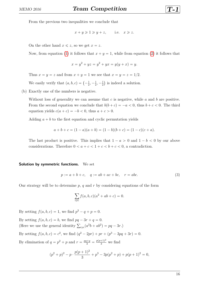From the previous two inequalities we conclude that

$$
x + y \geqslant 1 \geqslant y + z, \qquad \text{i.e.} \quad x \geqslant z.
$$

On the other hand  $x \leq z$ , so we get  $x = z$ .

Now, from equation [\(1\)](#page-14-1) it follows that  $x + y = 1$ , while from equation [\(2\)](#page-14-2) it follows that

$$
x = y^2 + yz = y^2 + yx = y(y + x) = y.
$$

Thus  $x = y = z$  and from  $x + y = 1$  we see that  $x = y = z = 1/2$ .

We easily verify that  $(a, b, c) = \left(-\frac{1}{2}\right)$  $\frac{1}{2}, -\frac{1}{2}$  $\frac{1}{2}, -\frac{1}{2}$ 2 is indeed a solution.

(b) Exactly one of the numbers is negative.

Without loss of generality we can assume that *c* is negative, while *a* and *b* are positive. From the second equation we conclude that  $b(b+c) = -a < 0$ , thus  $b+c < 0$ . The third equation yields  $c(a + c) = -b < 0$ , thus  $a + c > 0$ .

Adding  $a + b$  to the first equation and cyclic permutation yields

$$
a + b + c = (1 - a)(a + b) = (1 - b)(b + c) = (1 - c)(c + a).
$$

The last product is positive. This implies that  $1 - a > 0$  and  $1 - b < 0$  by our above considerations. Therefore  $0 < a + c < 1 + c < b + c < 0$ , a contradiction.

#### **Solution by symmetric functions.** We set

$$
p := a + b + c, \quad q := ab + ac + bc, \quad r = abc.
$$
 (3)

Our strategy will be to determine  $p$ ,  $q$  and  $r$  by considering equations of the form

<span id="page-15-0"></span>
$$
\sum_{\text{cyc}} f(a, b, c)(a^2 + ab + c) = 0.
$$

By setting  $f(a, b, c) = 1$ , we find  $p^2 - q + p = 0$ .

By setting  $f(a, b, c) = b$ , we find  $pq - 3r + q = 0$ . By setting  $f(a, b, c) = b$ , we find  $pq - 3r + q = 0$ .<br>(Here we use the general identity  $\sum_{\text{cyc}} (a^2b + ab^2) = pq - 3r$ .) By setting  $f(a, b, c) = c^2$ , we find  $(q^2 - 2pr) + pr + (p^3 - 3pq + 3r) = 0$ . By elimination of  $q = p^2 + p$  and  $r = \frac{pq+q}{3} = \frac{p(p+1)^2}{3}$  we find

$$
(p2 + p)2 - p \cdot \frac{p(p+1)2}{3} + p3 - 3p(p2 + p) + p(p+1)2 = 0,
$$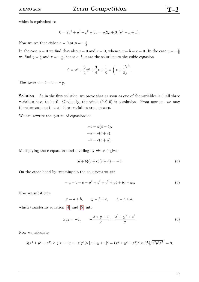which is equivalent to

$$
0 = 2p4 + p3 - p2 + 3p = p(2p + 3)(p2 - p + 1).
$$

Now we see that either  $p = 0$  or  $p = -\frac{3}{2}$  $\frac{3}{2}$ .

In the case  $p = 0$  we find that also  $q = 0$  and  $r = 0$ , whence  $a = b = c = 0$ . In the case  $p = -\frac{3}{2}$ 2 we find  $q = \frac{3}{4}$  $\frac{3}{4}$  and  $r = -\frac{1}{8}$  $\frac{1}{8}$ , hence *a*, *b*, *c* are the solutions to the cubic equation

$$
0 = x^{3} + \frac{3}{2}x^{2} + \frac{3}{4}x + \frac{1}{8} = \left(x + \frac{1}{2}\right)^{3}.
$$

This gives  $a = b = c = -\frac{1}{2}$  $\frac{1}{2}$ .

**Solution.** As in the first solution, we prove that as soon as one of the variables is 0, all three variables have to be 0. Obviously, the triple  $(0,0,0)$  is a solution. From now on, we may therefore assume that all three variables are non-zero.

We can rewrite the system of equations as

$$
-c = a(a + b),
$$

$$
-a = b(b + c),
$$

$$
-b = c(c + a).
$$

Multiplying these equations and dividing by  $abc \neq 0$  gives

<span id="page-16-0"></span>
$$
(a+b)(b+c)(c+a) = -1.
$$
 (4)

On the other hand by summing up the equations we get

<span id="page-16-1"></span>
$$
-a - b - c = a2 + b2 + c2 + ab + bc + ac.
$$
 (5)

Now we substitute

$$
x = a + b, \qquad y = b + c, \qquad z = c + a.
$$

which transforms equation  $(4)$  and  $(5)$  into

<span id="page-16-2"></span>
$$
xyz = -1, \qquad -\frac{x+y+z}{2} = \frac{x^2+y^2+z^2}{2} \tag{6}
$$

Now we calculate

$$
3(x^{2} + y^{2} + z^{2}) \ge (|x| + |y| + |z|)^{2} \ge |x + y + z|^{2} = (x^{2} + y^{2} + z^{2})^{2} \ge 3^{2} \sqrt[3]{x^{2}y^{2}z^{2}}^{2} = 9,
$$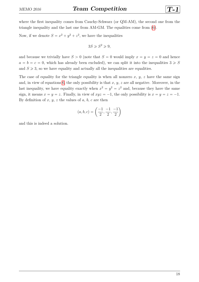where the first inequality comes from Cauchy-Schwarz (or QM-AM), the second one from the triangle inequality and the last one from AM-GM. The equalities come from [\(6\)](#page-16-2).

Now, if we denote  $S = x^2 + y^2 + z^2$ , we have the inequalities

$$
3S \ge S^2 \ge 9,
$$

and because we trivially have  $S > 0$  (note that  $S = 0$  would imply  $x = y = z = 0$  and hence  $a = b = c = 0$ , which has already been excluded), we can split it into the inequalities  $3 \geq S$ and  $S \geq 3$ , so we have equality and actually all the inequalities are equalities.

The case of equality for the triangle equality is when all nonzero  $x, y, z$  have the same sign and, in view of equations [6,](#page-16-2) the only possibility is that *x*, *y*, *z* are all negative. Moreover, in the last inequality, we have equality exactly when  $x^2 = y^2 = z^2$  and, because they have the same sign, it means  $x = y = z$ . Finally, in view of  $xyz = -1$ , the only possibility is  $x = y = z = -1$ . By definition of  $x, y, z$  the values of  $a, b, c$  are then

$$
(a, b, c) = \left(\frac{-1}{2}, \frac{-1}{2}, \frac{-1}{2}\right)
$$

and this is indeed a solution.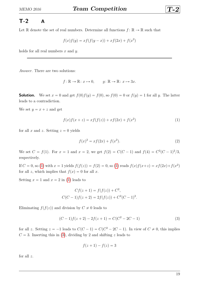# <span id="page-18-0"></span>**T-2 A**

Let  $\mathbb R$  denote the set of real numbers. Determine all functions  $f: \mathbb R \to \mathbb R$  such that

$$
f(x)f(y) = xf(f(y - x)) + xf(2x) + f(x2)
$$

holds for all real numbers *x* and *y*.

*Answer.* There are two solutions:

$$
f: \mathbb{R} \to \mathbb{R}: x \mapsto 0, \qquad g: \mathbb{R} \to \mathbb{R}: x \mapsto 3x.
$$

**Solution.** We set  $x = 0$  and get  $f(0)f(y) = f(0)$ , so  $f(0) = 0$  or  $f(y) = 1$  for all *y*. The latter leads to a contradiction.

We set  $y = x + z$  and get

$$
f(x)f(x+z) = xf(f(z)) + xf(2x) + f(x^2)
$$
\n(1)

for all *x* and *z*. Setting  $z = 0$  yields

$$
f(x)^2 = xf(2x) + f(x^2).
$$
 (2)

We set  $C = f(1)$ . For  $x = 1$  and  $x = 2$ , we get  $f(2) = C(C - 1)$  and  $f(4) = C^2(C - 1)^2/3$ , respectively.

If  $C = 0$ , so [\(1\)](#page-14-1) with  $x = 1$  yields  $f(f(z)) = f(2) = 0$ , so (1) reads  $f(x)f(x+z) = xf(2x) + f(x^2)$ for all *z*, which implies that  $f(x) = 0$  for all *x*.

Setting  $x = 1$  and  $x = 2$  in [\(1\)](#page-14-1) leads to

$$
Cf(z + 1) = f(f(z)) + C2,
$$
  
\n
$$
C(C - 1)f(z + 2) = 2f(f(z)) + C2(C - 1)2.
$$

Eliminating  $f(f(z))$  and division by  $C \neq 0$  leads to

$$
(C-1)f(z+2) - 2f(z+1) = C(C2 - 2C - 1)
$$
\n(3)

for all *z*. Setting  $z = -1$  leads to  $C(C - 1) = C(C^2 - 2C - 1)$ . In view of  $C \neq 0$ , this implies  $C = 3$ . Inserting this in [\(3\)](#page-15-0), dividing by 2 and shifting *z* leads to

$$
f(z+1) - f(z) = 3
$$

for all *z*.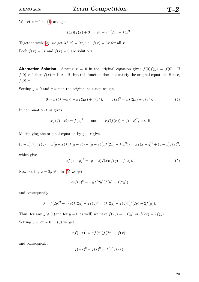We set  $z = 1$  in [\(1\)](#page-14-1) and get

$$
f(x)(f(x) + 3) = 9x + xf(2x) + f(x2).
$$

Together with [\(2\)](#page-14-2), we get  $3f(x) = 9x$ , i.e.,  $f(x) = 3x$  for all *x*.

Both  $f(x) = 3x$  and  $f(x) = 0$  are solutions.

**Alternative Solution.** Setting  $x = 0$  in the original equation gives  $f(0)f(y) = f(0)$ . If  $f(0) \neq 0$  then  $f(x) = 1$ ,  $x \in \mathbb{R}$ , but this function does not satisfy the original equation. Hence,  $f(0) = 0.$ 

Setting  $y = 0$  and  $y = x$  in the original equation we get

$$
0 = xf(f(-x)) + xf(2x) + f(x2), \qquad f(x)2 = xf(2x) + f(x2).
$$
 (4)

In combination this gives

 $-f(f(-x)) = f(x)^2$  and  $xf(f(x)) = f(-x)^2, x \in \mathbb{R}$ .

Multiplying the original equation by  $y - x$  gives

$$
(y-x)f(x)f(y) = x(y-x)f(f(y-x)) + (y-x)(xf(2x) + f(x^2)) = xf(x-y)^2 + (y-x)f(x)^2,
$$

which gives

$$
xf(x - y)^{2} = (y - x)f(x)(f(y) - f(x)).
$$
\n(5)

Now setting  $x = 2y \neq 0$  in [\(5\)](#page-16-1) we get

$$
2yf(y)^{2} = -yf(2y)(f(y) - f(2y))
$$

and consequently

$$
0 = f(2y)^{2} - f(y)f(2y) - 2f(y)^{2} = (f(2y) + f(y))(f(2y) - 2f(y)).
$$

Thus, for any  $y \neq 0$  (and for  $y = 0$  as well) we have  $f(2y) = -f(y)$  or  $f(2y) = 2f(y)$ . Setting  $y = 2x \neq 0$  in [\(5\)](#page-16-1) we get

$$
xf(-x)^{2} = xf(x)(f(2x) - f(x))
$$

and consequently

$$
f(-x)^{2} + f(x)^{2} = f(x)f(2x).
$$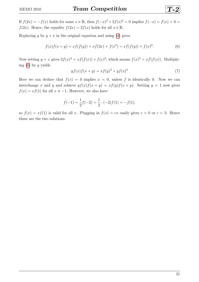If  $f(2x) = -f(x)$  holds for some  $x \in \mathbb{R}$ , then  $f(-x)^2 + 2f(x)^2 = 0$  implies  $f(-x) = f(x) = 0$ *f*(2*x*). Hence, the equality  $f(2x) = 2f(x)$  holds for all  $x \in \mathbb{R}$ .

Replacing *y* by  $y + x$  in the original equation and using [\(4\)](#page-16-0) gives

$$
f(x)f(x + y) = xf(f(y)) + xf(2x) + f(x^{2}) = xf(f(y)) + f(x)^{2}.
$$
\n(6)

Now setting  $y = x$  gives  $2f(x)^2 = xf(f(x)) + f(x)^2$ , which means  $f(x)^2 = xf(f(x))$ . Multiplying [\(6\)](#page-16-2) by *y* yields

$$
y f(x) f(x + y) = x f(y)^{2} + y f(x)^{2}
$$
 (7)

Here we can deduce that  $f(x) = 0$  implies  $x = 0$ , unless f is identically 0. Now we can interchange *x* and *y* and achieve  $y f(x) f(x + y) = x f(y) f(x + y)$ . Setting  $y = 1$  now gives  $f(x) = xf(1)$  for all  $x \neq -1$ . However, we also have

$$
f(-1) = \frac{1}{2}f(-2) = \frac{1}{2} \cdot (-2)f(1) = -f(1),
$$

so  $f(x) = xf(1)$  is valid for all *x*. Plugging in  $f(x) = cx$  easily gives  $c = 0$  or  $c = 3$ . Hence these are the two solutions.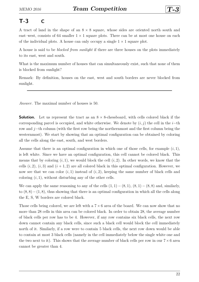# <span id="page-21-0"></span>**T-3 C**

A tract of land in the shape of an  $8 \times 8$  square, whose sides are oriented north–south and east–west, consists of 64 smaller  $1 \times 1$  square plots. There can be at most one house on each of the individual plots. A house can only occupy a single  $1 \times 1$  square plot.

A house is said to be *blocked from sunlight* if there are three houses on the plots immediately to its east, west and south.

What is the maximum number of houses that can simultaneously exist, such that none of them is blocked from sunlight?

Remark: By definition, houses on the east, west and south borders are never blocked from sunlight.

*Answer.* The maximal number of houses is 50.

**Solution.** Let us represent the tract as an  $8 \times 8$ -chessboard, with cells colored black if the corresponding parcel is occupied, and white otherwise. We denote by  $(i, j)$  the cell in the *i*-th row and  $j$ -th column (with the first row being the northernmost and the first column being the westernmost). We start by showing that an optimal configuration can be obtained by coloring all the cells along the east, south, and west borders.

Assume that there is an optimal configuration in which one of those cells, for example  $(i, 1)$ , is left white. Since we have an optimal configuration, this cell cannot be colored black. This means that by coloring  $(i,1)$ , we would block the cell  $(i,2)$ . In other words, we know that the cells  $(i, 2), (i, 3)$  and  $(i + 1, 2)$  are all colored black in this optimal configuration. However, we now see that we can color  $(i,1)$  instead of  $(i,2)$ , keeping the same number of black cells and coloring  $(i, 1)$ , without disturbing any of the other cells.

We can apply the same reasoning to any of the cells  $(1, 1) - (8, 1), (8, 1) - (8, 8)$  and, similarly, to  $(8, 8) - (1, 8)$ , thus showing that there is an optimal configuration in which all the cells along the E, S, W borders are colored black.

Those cells being colored, we are left with a  $7 \times 6$  area of the board. We can now show that no more than 28 cells in this area can be colored black. In order to obtain 28, the average number of black cells per row has to be 4. However, if any row contains six black cells, the next row down cannot contain any black cells, since such a black cell would block the cell immediately north of it. Similarly, if a row were to contain 5 black cells, the next row down would be able to contain at most 3 black cells (namely in the cell immediately below the single white one and the two next to it). This shows that the average number of black cells per row in our  $7 \times 6$  area cannot be greater than 4.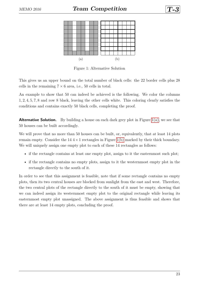

<span id="page-22-1"></span><span id="page-22-0"></span>

Figure 1: Alternative Solution

This gives us an upper bound on the total number of black cells: the 22 border cells plus 28 cells in the remaining  $7 \times 6$  area, i.e., 50 cells in total.

An example to show that 50 can indeed be achieved is the following. We color the columns 1*,* 2*,* 4*,* 5*,* 7*,* 8 and row 8 black, leaving the other cells white. This coloring clearly satisfies the conditions and contains exactly 50 black cells, completing the proof.

**Alternative Solution.** By building a house on each dark grey plot in Figure [1\(a\),](#page-22-0) we see that 50 houses can be built accordingly.

We will prove that no more than 50 houses can be built, or, equivalently, that at least 14 plots remain empty. Consider the  $14.4 \times 1$  rectangles in Figure [1\(b\)](#page-22-1) marked by their thick boundary. We will uniquely assign one empty plot to each of these 14 rectangles as follows:

- if the rectangle contains at least one empty plot, assign to it the easternmost such plot;
- if the rectangle contains no empty plots, assign to it the westernmost empty plot in the rectangle directly to the south of it.

In order to see that this assignment is feasible, note that if some rectangle contains no empty plots, then its two central houses are blocked from sunlight from the east and west. Therefore, the two central plots of the rectangle directly to the south of it must be empty, showing that we can indeed assign its westernmost empty plot to the original rectangle while leaving its easternmost empty plot unassigned. The above assignment is thus feasible and shows that there are at least 14 empty plots, concluding the proof.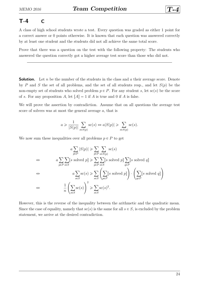### <span id="page-23-0"></span>**T-4 C**

A class of high school students wrote a test. Every question was graded as either 1 point for a correct answer or 0 points otherwise. It is known that each question was answered correctly by at least one student and the students did not all achieve the same total score.

Prove that there was a question on the test with the following property: The students who answered the question correctly got a higher average test score than those who did not.

**Solution.** Let *n* be the number of the students in the class and *a* their average score. Denote by *P* and *S* the set of all problems, and the set of all students resp., and let  $S(p)$  be the non-empty set of students who solved problem  $p \in P$ . For any student *s*, let sc(*s*) be the score of *s*. For any proposition *A*, let  $[A] = 1$  if *A* is true and 0 if *A* is false.

We will prove the assertion by contradiction. Assume that on all questions the average test score of solvers was at most the general average *a*, that is

$$
a \ge \frac{1}{|S(p)|} \sum_{s \in S(p)} \operatorname{sc}(s) \Leftrightarrow a|S(p)| \ge \sum_{s \in S(p)} \operatorname{sc}(s).
$$

We now sum these inequalities over all problems  $p \in P$  to get

$$
a \sum_{p \in P} |S(p)| \ge \sum_{p \in P} \sum_{s \in S(p)} \operatorname{sc}(s)
$$
  
\n
$$
\Leftrightarrow \qquad a \sum_{p \in P} \sum_{s \in S} [s \text{ solved } p] \ge \sum_{p \in P} \sum_{s \in S} [s \text{ solved } p] \sum_{q \in P} [s \text{ solved } q]
$$
  
\n
$$
\Leftrightarrow \qquad a \sum_{s \in S} \operatorname{sc}(s) \ge \sum_{s \in S} \left( \sum_{p \in P} [s \text{ solved } p] \right) \cdot \left( \sum_{q \in P} [s \text{ solved } q] \right)
$$
  
\n
$$
\Leftrightarrow \qquad \frac{1}{n} \left( \sum_{s \in S} \operatorname{sc}(s) \right)^2 \ge \sum_{s \in S} \operatorname{sc}(s)^2.
$$

However, this is the reverse of the inequality between the arithmetic and the quadratic mean. Since the case of equality, namely that  $\operatorname{sc}(s)$  is the same for all  $s \in S$ , is excluded by the problem statement, we arrive at the desired contradiction.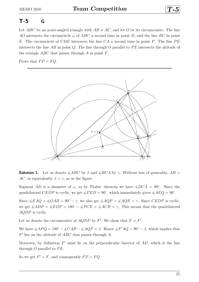# <span id="page-24-0"></span>**T-5 G**

Let *ABC* be an acute-angled triangle with  $AB \neq AC$ , and let *O* be its circumcentre. The line *AO* intersects the circumcircle  $\omega$  of *ABC* a second time in point *D*, and the line *BC* in point *E*. The circumcircle of *CDE* intersects the line *CA* a second time in point *P*. The line *P E* intersects the line *AB* in point *Q*. The line through *O* parallel to *P E* intersects the altitude of the triangle *ABC* that passes through *A* in point *F*.

Prove that  $FP = FQ$ .



**Solution 1.** Let us denote  $\angle ABC$  by  $\beta$  and  $\angle BCA$  by  $\gamma$ . Without loss of generality,  $AB >$ *AC*, or equivalently  $\beta < \gamma$ , as in the figure.

Segment *AD* is a diameter of  $\omega$ , so by Thales' theorem we have  $\angle DCA = 90^{\circ}$ . Since the quadrilateral *CEDP* is cyclic, we get  $\angle PED = 90^{\circ}$ , which immediately gives  $\angle AEQ = 90^{\circ}$ .

Since  $\angle EAQ = \angle OAB = 90^\circ - \gamma$ , we also get  $\angle AQP = \angle AQE = \gamma$ . Since *CEDP* is cyclic, we get  $\angle ADP = \angle EDP = 180^\circ - \angle PCE = \angle ACB = \gamma$ . This means that the quadrilateral *AQDP* is cyclic.

Let us denote the circumcentre of *AQDP* by  $F'$ . We show that  $F = F'$ .

We have  $\angle APQ = 180^{\circ} - \angle CAB - \angle AQP = \beta$ . Hence  $\angle F'AQ = 90^{\circ} - \beta$ , which implies that *F* 1 lies on the altitude of *ABC* that passes through *A*.

Moreover, by definition  $F'$  must lie on the perpendicular bisector of  $AD$ , which is the line through  $O$  parallel to  $PE$ .

So we get  $F' = F$ , and consequently  $FP = FQ$ .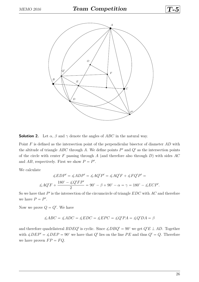

**Solution 2.** Let  $\alpha$ ,  $\beta$  and  $\gamma$  denote the angles of *ABC* in the natural way.

Point *F* is defined as the intersection point of the perpendicular bisector of diameter *AD* with the altitude of triangle  $ABC$  through  $A$ . We define points  $P'$  and  $Q'$  as the intersection points of the circle with center *F* passing through *A* (and therefore also through *D*) with sides *AC* and  $AB$ , respectively. First we show  $P = P'$ .

We calculate

$$
\measuredangle EDP' = \measuredangle ADP' = \measuredangle AQ'P' = \measuredangle AQ'F + \measuredangle FQ'P' =
$$
\n
$$
\measuredangle AQ'F + \frac{180^\circ - \measuredangle Q'FP'}{2} = 90^\circ - \beta + 90^\circ - \alpha = \gamma = 180^\circ - \measuredangle ECP'.
$$

So we have that  $P'$  is the intersection of the circumcircle of triangle  $EDC$  with  $AC$  and therefore we have  $P = P'$ .

Now we prove  $Q = Q'$ . We have

$$
\angle ABC = \angle ADC = \angle EDC = \angle EPC = \angle Q'PA = \angle Q'DA = \beta
$$

and therefore quadrilateral  $BDEQ'$  is cyclic. Since  $\angle DBQ' = 90^{\circ}$  we get  $Q'E \perp AD$ . Together with  $\angle DEP' = \angle DEP = 90^{\circ}$  we have that *Q'* lies on the line *PE* and thus *Q'* = *Q*. Therefore we have proven  $FP = FQ$ .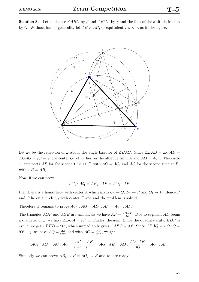**Solution 3.** Let us denote  $\angle ABC$  by  $\beta$  and  $\angle BCA$  by  $\gamma$  and the foot of the altitude from A by *G*. Without loss of generality let  $AB > AC$ , or equivalently  $\beta < \gamma$ , as in the figure.



Let  $\omega_1$  be the reflection of  $\omega$  about the angle bisector of  $\angle BAC$ . Since  $\angle EAB = \angle OAB$  $\angle CAG = 90^\circ - \gamma$ , the center  $O_1$  of  $\omega_1$  lies on the altitude from *A* and  $AO = AO_1$ . The circle  $\omega_1$  intersects *AB* for the second time at  $C_1$  with  $AC = AC_1$  and  $AC$  for the second time at  $B_1$ with  $AB = AB_1$ .

Now, if we can prove

$$
AC_1: AQ = AB_1: AP = AO_1: AF,
$$

then there is a homothety with center *A* which maps  $C_1 \rightarrow Q$ ,  $B_1 \rightarrow P$  and  $O_1 \rightarrow F$ . Hence *P* and *Q* lie on a circle  $\omega_2$  with center *F* and and the problem is solved.

Therefore it remains to prove  $AC_1$ :  $AQ = AB_1$ :  $AP = AO_1$ :  $AF$ .

The triangles  $AOF$  and  $AGE$  are similar, so we have  $AF = \frac{AO \cdot AE}{AG}$ . Due to segment  $AD$  being a diameter of  $\omega$ , we have  $\angle DCA = 90^{\circ}$  by Thales' theorem. Since the quadrilateral *CEDP* is cyclic, we get  $\angle PED = 90^{\circ}$ , which immediately gives  $\angle AEQ = 90^{\circ}$ . Since  $\angle EAQ = \angle OAQ =$  $90^{\circ} - \gamma$ , we have  $AQ = \frac{AE}{\sin \gamma}$  $\frac{AE}{\sin \gamma}$  and with  $AC = \frac{AG}{\sin \gamma}$  $\frac{AG}{\sin \gamma}$ , we get

$$
AC_1: AQ = AC: AQ = \frac{AG}{\sin \gamma} : \frac{AE}{\sin \gamma} = AG: AE = AO: \frac{AO \cdot AE}{AG} = AO_1: AF.
$$

Similarly we can prove  $AB_1 : AP = AO_1 : AF$  and we are ready.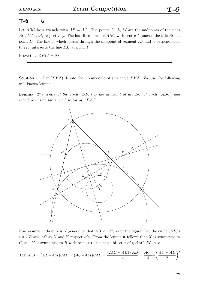### <span id="page-27-0"></span>**T-6 G**

Let *ABC* be a triangle with  $AB \neq AC$ . The points *K*, *L*, *M* are the midpoints of the sides *BC*, *CA*, *AB*, respectively. The inscribed circle of *ABC* with centre *I* touches the side *BC* at point *D*. The line *g*, which passes through the midpoint of segment *ID* and is perpendicular to *IK*, intersects the line *LM* at point *P*.

Prove that  $\angle PIA = 90^\circ$ .

**Solution 1.** Let  $(XYZ)$  denote the circumcircle of a triangle *XYZ*. We use the following well-known lemma:

**Lemma.** The centre of the circle (BIC) is the midpoint of arc BC of circle (ABC) and *therefore lies on the angle bisector of*  $\angle BAC$ *.* 



Now assume without loss of generality that  $AB < AC$ , as in the figure. Let the circle  $(BIC)$ cut *AB* and *AC* at *X* and *Y* respectively. From the lemma it follows that *X* is symmetric to *C*, and *Y* is symmetric to *B* with respect to the angle bisector of  $\angle BAC$ . We have

$$
MX \cdot MB = (AX - AM) \cdot MB = (AC - AM) \cdot MB = \frac{(2AC - AB) \cdot AB}{4} = \frac{AC^2}{4} - \left(\frac{AC - AB}{2}\right)^2,
$$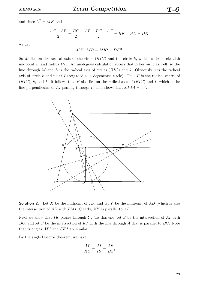and since  $\frac{AC}{2} = MK$  and

$$
\frac{AC - AB}{2} = \frac{BC}{2} - \frac{AB + BC - AC}{2} = BK - BD = DK,
$$

we get

 $MX \cdot MB = MK^2 - DK^2$ .

So  $M$  lies on the radical axis of the circle  $(BIC)$  and the circle  $k$ , which is the circle with midpoint *K* and radius *DK*. An analogous calculation shows that *L* lies on it as well, so the line through *M* and *L* is the radical axis of circles  $(BIC)$  and *k*. Obviously *g* is the radical axis of circle *k* and point *I* (regarded as a degenerate circle). Thus *P* is the radical centre of  $(BIC)$ , *k*, and *I*. It follows that *P* also lies on the radical axis of  $(BIC)$  and *I*, which is the line perpendicular to AI passing through *I*. This shows that  $\angle PIA = 90^{\circ}$ .



**Solution 2.** Let *X* be the midpoint of *ID*, and let *Y* be the midpoint of *AD* (which is also the intersection of *AD* with *LM*). Clearly, *XY* is parallel to *AI*.

Next we show that *IK* passes through *Y*. To this end, let *S* be the intersection of *AI* with *BC*, and let *T* be the intersection of *KI* with the line through *A* that is parallel to *BC*. Note that triangles *ATI* and *SKI* are similar.

By the angle bisector theorem, we have

$$
\frac{AT}{KS} = \frac{AI}{IS} = \frac{AB}{BS},
$$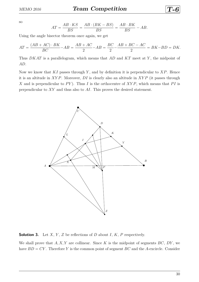so

$$
AT = \frac{AB \cdot KS}{BS} = \frac{AB \cdot (BK - BS)}{BS} = \frac{AB \cdot BK}{BS} - AB.
$$

Using the angle bisector theorem once again, we get

$$
AT = \frac{(AB + AC) \cdot BK}{BC} - AB = \frac{AB + AC}{2} - AB = \frac{BC}{2} - \frac{AB + BC - AC}{2} = BK - BD = DK.
$$

Thus *DKAT* is a parallelogram, which means that *AD* and *KT* meet at *Y* , the midpoint of *AD*.

Now we know that *KI* passes through *Y* , and by definition it is perpendicular to *XP*. Hence it is an altitude in *XY P*. Moreover, *DI* is clearly also an altitude in *XY P* (it passes through *X* and is perpendicular to *PY*). Thus *I* is the orthocentre of *XYP*, which means that *PI* is perpendicular to *XY* and thus also to *AI*. This proves the desired statement.



**Solution 3.** Let  $X, Y, Z$  be reflections of  $D$  about  $I, K, P$  respectively.

We shall prove that *A, X, Y* are collinear. Since *K* is the midpoint of segments *BC*, *DY* , we have  $BD = CY$ . Therefore *Y* is the common point of segment *BC* and the *A*-excircle. Consider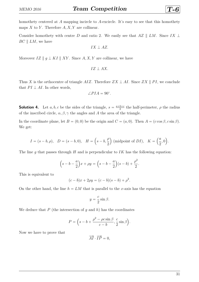homothety centered at *A* mapping incircle to *A*-excircle. It's easy to see that this homothety maps  $X$  to  $Y$ . Therefore  $A, X, Y$  are collinear.

Consider homothety with centre *D* and ratio 2. We easily see that  $AZ \parallel LM$ . Since  $IX \perp$  $BC \parallel LM$ , we have

$$
IX \perp AZ.
$$

Moreover  $IZ \parallel g \perp KI \parallel XY$ . Since  $A, X, Y$  are collinear, we have

$$
IZ \perp AX.
$$

Thus *X* is the orthocentre of triangle *AIZ*. Therefore  $ZX \perp AI$ . Since  $ZX \parallel PI$ , we conclude that  $PI \perp AI$ . In other words,

$$
\angle PIA = 90^{\circ}.
$$

**Solution 4.** Let *a*, *b*, *c* be the sides of the triangle,  $s = \frac{a+b+c}{2}$  $\frac{b+c}{2}$  the half-perimeter,  $\rho$  the radius of the inscribed circle,  $\alpha$ ,  $\beta$ ,  $\gamma$  the angles and A the area of the triangle.

In the coordinate plane, let  $B = (0,0)$  be the origin and  $C = (a,0)$ . Then  $A = (c \cos \beta, c \sin \beta)$ . We get:

$$
I = (s - b, \rho), \ D = (s - b, 0), \ H = \left(s - b, \frac{\rho}{2}\right)
$$
 (midpoint of *DI*),  $K = \left(\frac{a}{2}, 0\right)$ .

The line *g* that passes through *H* and is perpendicular to *IK* has the following equation:

$$
(s - b - \frac{a}{2})x + \rho y = (s - b - \frac{a}{2})(s - b) + \frac{\rho^2}{2}.
$$

This is equivalent to

$$
(c - b)x + 2\rho y = (c - b)(s - b) + \rho^2.
$$

On the other hand, the line  $h = LM$  that is parallel to the *x*-axis has the equation

$$
y = \frac{c}{2}\sin\beta.
$$

We deduce that *P* (the intersection of *g* and *h*) has the coordinates

$$
P = \left(s - b + \frac{\rho^2 - \rho c \sin \beta}{c - b}, \frac{c}{2} \sin \beta\right).
$$

Now we have to prove that

$$
\overrightarrow{AI} \cdot \overrightarrow{IP} = 0,
$$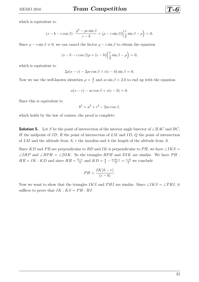which is equivalent to

$$
(s - b - c \cos \beta) \cdot \frac{\rho^2 - \rho c \sin \beta}{c - b} + (\rho - c \sin \beta) \left(\frac{c}{2} \sin \beta - \rho\right) = 0.
$$

Since  $\rho - c \sin \beta \neq 0$ , we can cancel the factor  $\rho - c \sin \beta$  to obtain the equation

$$
(s - b - c \cos \beta)\rho + (c - b)\left(\frac{c}{2}\sin \beta - \rho\right) = 0,
$$

which is equivalent to

$$
2\rho(s-c) - 2\rho c \cos \beta + c(c-b) \sin \beta = 0.
$$

Now we use the well-known identities  $\rho = \frac{A}{s}$  $\frac{A}{s}$  and  $ac \sin \beta = 2A$  to end up with the equation

$$
a(s-c) - ac\cos\beta + s(c-b) = 0.
$$

Since this is equivalent to

$$
b^2 = a^2 + c^2 - 2ac \cos \beta,
$$

which holds by the law of cosines, the proof is complete.

**Solution 5.** Let *S* be the point of intersection of the interior angle bisector of  $\angle BAC$  and  $BC$ , *H* the midpoint of *ID*, *R* the point of intersection of *LM* and *ID*, *Q* the point of intersection of *LM* and the altitude from *A*, *r* the inradius and *h* the length of the altitude from *A*.

Since *KD* and *PR* are perpendicular to *RD* and *IK* is perpendicular to *PH*, we have  $\angle$ *IKS* =  $\angle IHP$  and  $\angle RPH = \angle DIK$ . So the triangles  $RPH$  and  $DIK$  are similar. We have  $PH$ :  $HR = IK : KD$  and since  $HR = \frac{h-r}{2}$  $\frac{-r}{2}$  and  $KD = \frac{a}{2} - \frac{a+b-c}{2} = \frac{c-b}{2}$  we conclude

$$
PH = \frac{IK(h - r)}{(c - b)}.
$$

Now we want to show that the triangles *IKS* and *PHI* are similar. Since  $\angle IKS = \angle PHI$ , it suffices to prove that  $IK : KS = PH : HI$ .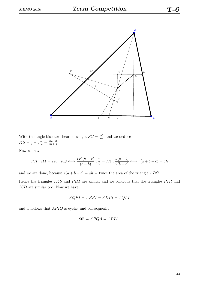

With the angle bisector theorem we get  $SC = \frac{ab}{b+}$  $\frac{ab}{b+c}$  and we deduce  $KS = \frac{a}{2} - \frac{ab}{b+c} = \frac{a(c-b)}{2(b+c)}$  $rac{a(c-b)}{2(b+c)}$ .

Now we have

$$
PH: HI = IK: KS \Longleftrightarrow \frac{IK(h-r)}{(c-b)}: \frac{r}{2} = IK: \frac{a(c-b)}{2(b+c)} \Longleftrightarrow r(a+b+c) = ah
$$

and we are done, because  $r(a + b + c) = ah =$  twice the area of the triangle *ABC*.

Hence the triangles *IKS* and *PHI* are similar and we conclude that the triangles *PIR* und *ISD* are similar too. Now we have

$$
\angle QPI = \angle RPI = \angle DIS = \angle QAI
$$

and it follows that  $APIQ$  is cyclic, and consequently

$$
90^{\circ} = \angle PQA = \angle PIA.
$$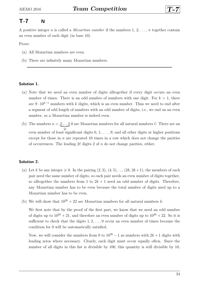### <span id="page-33-0"></span>**T-7 N**

A positive integer *n* is called a *Mozartian number* if the numbers 1, 2, . . . , *n* together contain an even number of each digit (in base 10).

Prove:

- (a) All Mozartian numbers are even.
- (b) There are infinitely many Mozartian numbers.

#### **Solution 1.**

- (a) Note that we need an even number of digits alltogether if every digit occurs an even number of times. There is an odd number of numbers with one digit. For  $k > 1$ , there are  $9 \cdot 10^{k-1}$  numbers with *k* digits, which is an even number. Thus we need to end after a segment of odd length of numbers with an odd number of digits, i.e., we end on an even number, so a Mozartian number is indeed even.
- (b) The numbers  $n = 2...20$  are Mozartian numbers for all natural numbers  $\ell$ : There are an <sup>2*l*</sup></sup> even number of least significant digits 0, 1, . . . , 9; and all other digits at higher positions except for those in *n* are repeated 10 times in a row which does not change the parities of occurrences. The leading  $2\ell$  digits 2 of *n* do not change parities, either.

#### **Solution 2.**

- (a) Let *k* be any integer  $\geq 0$ . In the pairing  $(2, 3), (4, 5), ..., (2k, 2k+1)$ , the members of each pair need the same number of digits, so each pair needs an even number of digits together, so alltogether the numbers from 1 to  $2k + 1$  need an odd number of digits. Therefore, any Mozartian number has to be even because the total number of digits used up to a Mozartian number has to be even.
- (b) We will show that  $10^{2k} + 22$  are Mozartian numbers for all natural numbers k.

We first note that by the proof of the first part, we know that we need an odd number of digits up to  $10^{2k} + 21$ , and therefore an even number of digits up to  $10^{2k} + 22$ . So it is sufficient to check that the digits 1*,* 2*, . . . ,* 9 occur an even number of times because the condition for 0 will be automatically satisfied.

Now, we will consider the numbers from 0 to  $10^{2k} - 1$  as numbers with  $2k + 1$  digits with leading zeros where necessary. Clearly, each digit must occur equally often. Since the number of all digits in this list is divisible by 100, this quantity is still divisible by 10,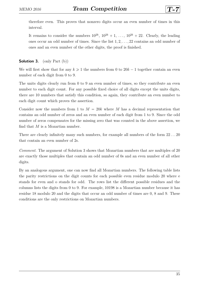therefore even. This proves that nonzero digits occur an even number of times in this interval.

It remains to consider the numbers  $10^{2k}$ ,  $10^{2k} + 1$ , ...,  $10^{2k} + 22$ . Clearly, the leading ones occur an odd number of times. Since the list 1*,* 2*, . . . ,* 22 contains an odd number of ones and an even number of the other digits, the proof is finished.

#### **Solution 3.** (only Part (b))

We will first show that for any  $k \geq 1$  the numbers from 0 to  $20k - 1$  together contain an even number of each digit from 0 to 9.

The units digits clearly run from 0 to 9 an even number of times, so they contribute an even number to each digit count. For any possible fixed choice of all digits except the units digits, there are 10 numbers that satisfy this condition, so again, they contribute an even number to each digit count which proves the assertion.

Consider now the numbers from 1 to  $M = 20k$  where M has a decimal representation that contains an odd number of zeros and an even number of each digit from 1 to 9. Since the odd number of zeros compensates for the missing zero that was counted in the above assertion, we find that *M* is a Mozartian number.

There are clearly infinitely many such numbers, for example all numbers of the form 22 *. . .* 20 that contain an even number of 2s.

*Comment.* The argument of Solution 3 shows that Mozartian numbers that are multiples of 20 are exactly those multiples that contain an odd number of 0s and an even number of all other digits.

By an analogous argument, one can now find all Mozartian numbers. The following table lists the parity restrictions on the digit counts for each possible even residue modulo 20 where e stands for even and o stands for odd. The rows list the different possible residues and the columns lists the digits from 0 to 9. For example, 10198 is a Mozartian number because it has residue 18 modulo 20 and the digits that occur an odd number of times are 0, 8 and 9. These conditions are the only restrictions on Mozartian numbers.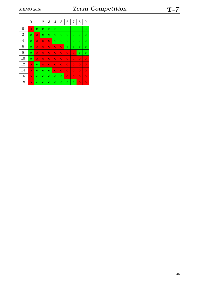|                | $\boldsymbol{0}$ | $\mathbf 1$    | $\overline{2}$ | 3              | $\overline{4}$ | 5              | 6              | 7              | 8              | 9              |
|----------------|------------------|----------------|----------------|----------------|----------------|----------------|----------------|----------------|----------------|----------------|
| $\overline{0}$ | $\overline{O}$   | e              | e              | e              | e              | $\mathbf{e}$   | $\mathbf{e}$   | е              | e              | $\mathbf{e}$   |
| $\overline{2}$ | e                | $\overline{O}$ | $\mathbf e$    | e              | e              | e              | $\mathbf{e}$   | e              | $\mathbf{e}$   | $\mathbf{e}$   |
| $\overline{4}$ | e                | $\overline{O}$ | $\overline{O}$ | $\overline{O}$ | e              | e              | $\mathbf{e}$   | e              | e              | $\mathbf{e}$   |
| 6              | e                | $\overline{O}$ | $\overline{O}$ | $\overline{O}$ | $\overline{O}$ | $\overline{O}$ | е              | е              | e              | $\mathbf{e}$   |
| 8              | e                | $\overline{O}$ | $\overline{O}$ | $\overline{O}$ | $\overline{O}$ | $\overline{O}$ | $\overline{O}$ | $\circ$        | e              | $\mathbf{e}$   |
| 10             | e                | $\overline{O}$ | $\overline{O}$ | $\overline{O}$ | $\overline{O}$ | $\overline{O}$ | $\overline{O}$ | $\overline{O}$ | $\overline{O}$ | $\overline{O}$ |
| 12             | $\overline{O}$   | e              | $\overline{O}$ | $\overline{O}$ | $\overline{O}$ | $\overline{O}$ | $\overline{O}$ | $\overline{O}$ | $\overline{O}$ | $\overline{O}$ |
| 14             | $\overline{O}$   | e              | e              | $\mathbf{e}$   | $\overline{O}$ | $\overline{O}$ | $\overline{O}$ | $\overline{O}$ | $\overline{O}$ | $\overline{O}$ |
| 16             | $\overline{O}$   | e              | e              | e              | e              | $\mathbf{e}$   | $\overline{O}$ | $\overline{O}$ | $\overline{O}$ | $\overline{O}$ |
| 18             | $\overline{O}$   | e              | $\mathbf e$    | e              | e              | $\mathbf{e}$   | $\mathbf{e}$   | е              | $\overline{O}$ | $\overline{O}$ |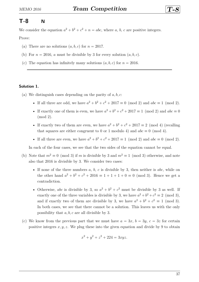### <span id="page-36-0"></span>**T-8 N**

We consider the equation  $a^2 + b^2 + c^2 + n = abc$ , where *a*, *b*, *c* are positive integers.

Prove:

- (a) There are no solutions  $(a, b, c)$  for  $n = 2017$ .
- (b) For  $n = 2016$ , *a* must be divisible by 3 for every solution  $(a, b, c)$ .
- (c) The equation has infinitely many solutions  $(a, b, c)$  for  $n = 2016$ .

#### **Solution 1.**

(a) We distinguish cases depending on the parity of *a, b, c*:

- If all three are odd, we have  $a^2 + b^2 + c^2 + 2017 \equiv 0 \pmod{2}$  and  $abc \equiv 1 \pmod{2}$ .
- If exactly one of them is even, we have  $a^2 + b^2 + c^2 + 2017 \equiv 1 \pmod{2}$  and  $abc \equiv 0$  $(mod 2).$
- If exactly two of them are even, we have  $a^2 + b^2 + c^2 + 2017 \equiv 2 \pmod{4}$  (recalling that squares are either congruent to 0 or 1 modulo 4) and  $abc \equiv 0 \pmod{4}$ .
- If all three are even, we have  $a^2 + b^2 + c^2 + 2017 \equiv 1 \pmod{2}$  and  $abc \equiv 0 \pmod{2}$ .

In each of the four cases, we see that the two sides of the equation cannot be equal.

- (b) Note that  $m^2 \equiv 0 \pmod{3}$  if *m* is divisible by 3 and  $m^2 \equiv 1 \pmod{3}$  otherwise, and note also that 2016 is divisible by 3. We consider two cases:
	- If none of the three numbers *a*, *b*, *c* is divisible by 3, then neither is *abc*, while on the other hand  $a^2 + b^2 + c^2 + 2016 \equiv 1 + 1 + 1 + 0 \equiv 0 \pmod{3}$ . Hence we get a contradiction.
	- Otherwise, *abc* is divisible by 3, so  $a^2 + b^2 + c^2$  must be divisible by 3 as well. If exactly one of the three variables is divisible by 3, we have  $a^2 + b^2 + c^2 \equiv 2 \pmod{3}$ , and if exactly two of them are divisible by 3, we have  $a^2 + b^2 + c^2 \equiv 1 \pmod{3}$ . In both cases, we see that there cannot be a solution. This leaves us with the only possibility that *a, b, c* are all divisible by 3.
- (c) We know from the previous part that we must have  $a = 3x, b = 3y, c = 3z$  for certain positive integers *x, y, z*. We plug these into the given equation and divide by 9 to obtain

$$
x^2 + y^2 + z^2 + 224 = 3xyz.
$$